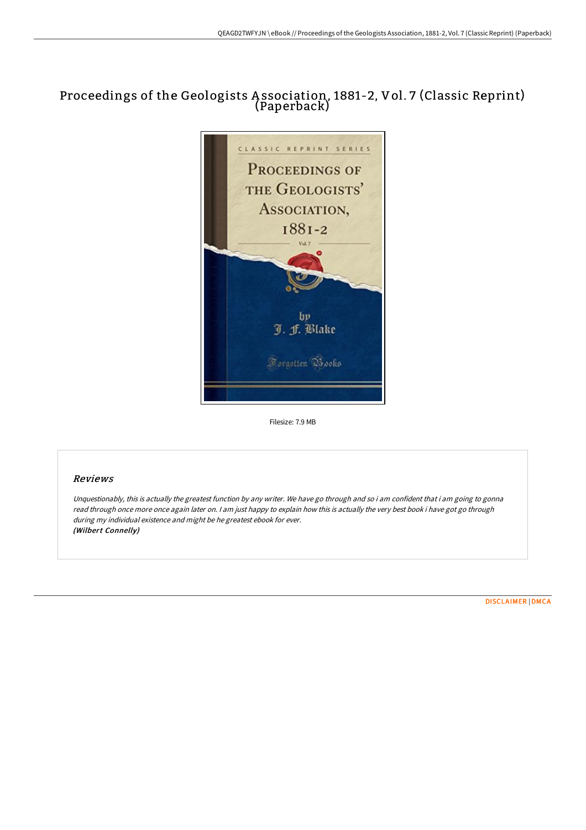# Proceedings of the Geologists A ssociation, 1881-2, Vol. 7 (Classic Reprint) (Paperback)



Filesize: 7.9 MB

## Reviews

Unquestionably, this is actually the greatest function by any writer. We have go through and so i am confident that i am going to gonna read through once more once again later on. I am just happy to explain how this is actually the very best book i have got go through during my individual existence and might be he greatest ebook for ever. (Wilbert Connelly)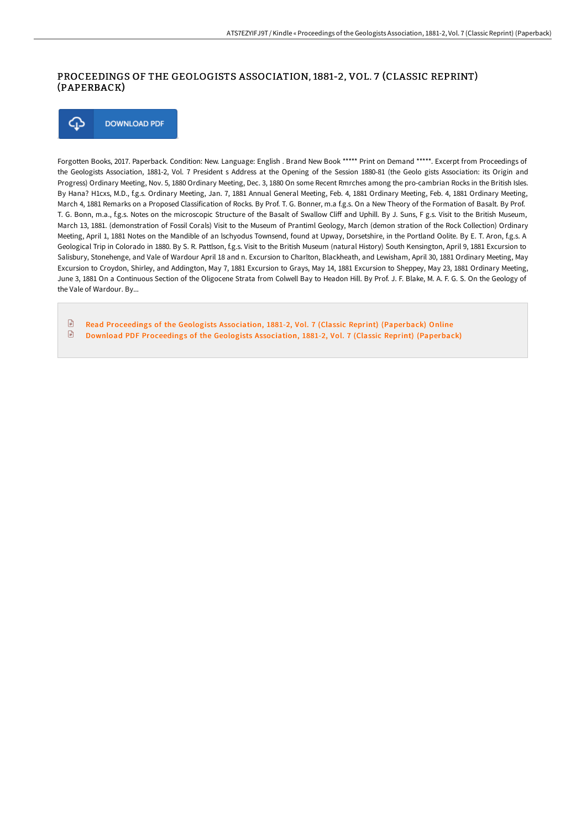### PROCEEDINGS OF THE GEOLOGISTS ASSOCIATION, 1881-2, VOL. 7 (CLASSIC REPRINT) (PAPERBACK)

⊕ **DOWNLOAD PDF** 

Forgotten Books, 2017. Paperback. Condition: New. Language: English . Brand New Book \*\*\*\*\* Print on Demand \*\*\*\*\*. Excerpt from Proceedings of the Geologists Association, 1881-2, Vol. 7 President s Address at the Opening of the Session 1880-81 (the Geolo gists Association: its Origin and Progress) Ordinary Meeting, Nov. 5, 1880 Ordinary Meeting, Dec. 3, 1880 On some Recent Rmrches among the pro-cambrian Rocks in the British Isles. By Hana? H1cxs, M.D., f.g.s. Ordinary Meeting, Jan. 7, 1881 Annual General Meeting, Feb. 4, 1881 Ordinary Meeting, Feb. 4, 1881 Ordinary Meeting, March 4, 1881 Remarks on a Proposed Classification of Rocks. By Prof. T. G. Bonner, m.a f.g.s. On a New Theory of the Formation of Basalt. By Prof. T. G. Bonn, m.a., f.g.s. Notes on the microscopic Structure of the Basalt of Swallow Cliff and Uphill. By J. Suns, F g.s. Visit to the British Museum, March 13, 1881. (demonstration of Fossil Corals) Visit to the Museum of Prantiml Geology, March (demon stration of the Rock Collection) Ordinary Meeting, April 1, 1881 Notes on the Mandible of an lschyodus Townsend, found at Upway, Dorsetshire, in the Portland Oolite. By E. T. Aron, f.g.s. A Geological Trip in Colorado in 1880. By S. R. Pattlson, f.g.s. Visit to the British Museum (natural History) South Kensington, April 9, 1881 Excursion to Salisbury, Stonehenge, and Vale of Wardour April 18 and n. Excursion to Charlton, Blackheath, and Lewisham, April 30, 1881 Ordinary Meeting, May Excursion to Croydon, Shirley, and Addington, May 7, 1881 Excursion to Grays, May 14, 1881 Excursion to Sheppey, May 23, 1881 Ordinary Meeting, June 3, 1881 On a Continuous Section of the Oligocene Strata from Colwell Bay to Headon Hill. By Prof. J. F. Blake, M. A. F. G. S. On the Geology of the Vale of Wardour. By...

 $\mathbb{R}$ Read [Proceedings](http://techno-pub.tech/proceedings-of-the-geologists-association-1881-2.html) of the Geologists Association, 1881-2, Vol. 7 (Classic Reprint) (Paperback) Online  $\begin{array}{c} \hline \end{array}$ Download PDF [Proceedings](http://techno-pub.tech/proceedings-of-the-geologists-association-1881-2.html) of the Geologists Association, 1881-2, Vol. 7 (Classic Reprint) (Paperback)